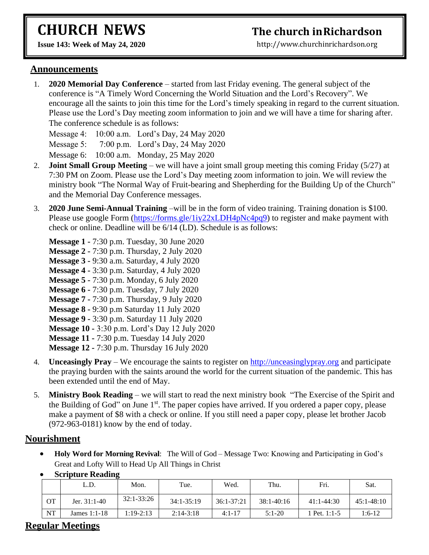# **CHURCH NEWS**

# **The church inRichardson**

**Issue 143: Week of May 24, 2020** 

[http://www.churchinrichardson.org](http://www.churchinrichardson.org/)

#### **Announcements**

1. **2020 Memorial Day Conference** – started from last Friday evening. The general subject of the conference is "A Timely Word Concerning the World Situation and the Lord's Recovery". We encourage all the saints to join this time for the Lord's timely speaking in regard to the current situation. Please use the Lord's Day meeting zoom information to join and we will have a time for sharing after. The conference schedule is as follows:

Message 4: 10:00 a.m. Lord's Day, 24 May 2020

Message 5: 7:00 p.m. Lord's Day, 24 May 2020

Message 6: 10:00 a.m. Monday, 25 May 2020

- 2. **Joint Small Group Meeting** we will have a joint small group meeting this coming Friday (5/27) at 7:30 PM on Zoom. Please use the Lord's Day meeting zoom information to join. We will review the ministry book "The Normal Way of Fruit-bearing and Shepherding for the Building Up of the Church" and the Memorial Day Conference messages.
- 3. **2020 June Semi-Annual Training** –will be in the form of video training. Training donation is \$100. Please use google Form [\(https://forms.gle/1iy22xLDH4pNc4pq9\)](https://forms.gle/1iy22xLDH4pNc4pq9) to register and make payment with check or online. Deadline will be 6/14 (LD). Schedule is as follows:
	- **Message 1 -** 7:30 p.m. Tuesday, 30 June 2020 **Message 2 -** 7:30 p.m. Thursday, 2 July 2020 **Message 3 -** 9:30 a.m. Saturday, 4 July 2020 **Message 4 -** 3:30 p.m. Saturday, 4 July 2020 **Message 5 -** 7:30 p.m. Monday, 6 July 2020 **Message 6 -** 7:30 p.m. Tuesday, 7 July 2020 **Message 7 -** 7:30 p.m. Thursday, 9 July 2020 **Message 8 -** 9:30 p.m Saturday 11 July 2020 **Message 9 -** 3:30 p.m. Saturday 11 July 2020 **Message 10 -** 3:30 p.m. Lord's Day 12 July 2020 **Message 11 -** 7:30 p.m. Tuesday 14 July 2020
	- **Message 12 -** 7:30 p.m. Thursday 16 July 2020
- 4. **Unceasingly Pray**  We encourage the saints to register on [http://unceasinglypray.org](http://unceasinglypray.org/) and participate the praying burden with the saints around the world for the current situation of the pandemic. This has been extended until the end of May.
- 5. **Ministry Book Reading** we will start to read the next ministry book "The Exercise of the Spirit and the Building of God" on June 1<sup>st</sup>. The paper copies have arrived. If you ordered a paper copy, please make a payment of \$8 with a check or online. If you still need a paper copy, please let brother Jacob (972-963-0181) know by the end of today.

#### **Nourishment**

• **Holy Word for Morning Revival**: The Will of God – Message Two: Knowing and Participating in God's Great and Lofty Will to Head Up All Things in Christ

|    | L.D.           | Mon.           | Tue.           | Wed.           | Thu.           | Fri.           | Sat.           |
|----|----------------|----------------|----------------|----------------|----------------|----------------|----------------|
| OТ | Jer. 31:1-40   | $32:1 - 33:26$ | $34:1 - 35:19$ | $36:1 - 37:21$ | $38:1 - 40:16$ | $41:1 - 44:30$ | $45:1 - 48:10$ |
| NT | James $1:1-18$ | 1:19-2:13      | $2:14-3:18$    | $4:1-17$       | $5:1-20$       | Pet. 1:1-5     | $1:6-12$       |

• **Scripture Reading**

#### **Regular Meetings**